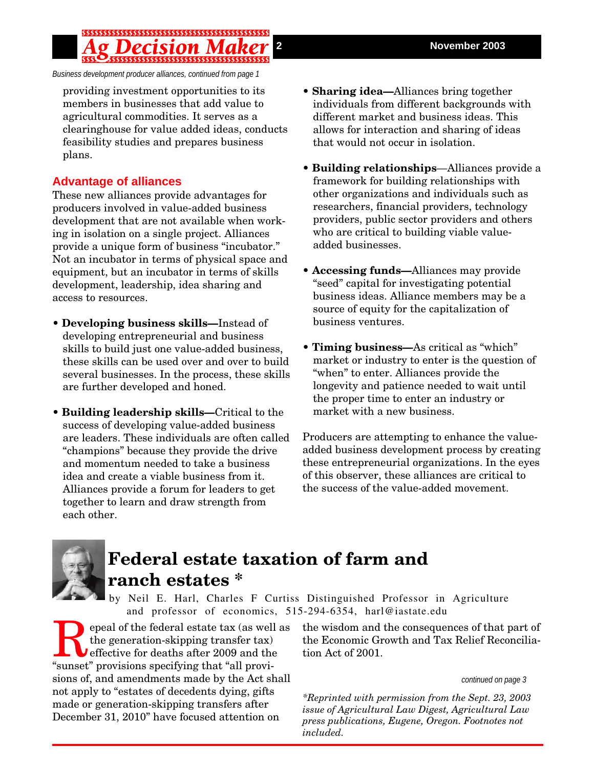*Business development producer alliances, continued from page 1*

providing investment opportunities to its members in businesses that add value to agricultural commodities. It serves as a clearinghouse for value added ideas, conducts feasibility studies and prepares business plans.

### **Advantage of alliances**

These new alliances provide advantages for producers involved in value-added business development that are not available when working in isolation on a single project. Alliances provide a unique form of business "incubator." Not an incubator in terms of physical space and equipment, but an incubator in terms of skills development, leadership, idea sharing and access to resources.

- **Developing business skills—**Instead of developing entrepreneurial and business skills to build just one value-added business, these skills can be used over and over to build several businesses. In the process, these skills are further developed and honed.
- **Building leadership skills—**Critical to the success of developing value-added business are leaders. These individuals are often called "champions" because they provide the drive and momentum needed to take a business idea and create a viable business from it. Alliances provide a forum for leaders to get together to learn and draw strength from each other.
- **Sharing idea—**Alliances bring together individuals from different backgrounds with different market and business ideas. This allows for interaction and sharing of ideas that would not occur in isolation.
- **Building relationships**—Alliances provide a framework for building relationships with other organizations and individuals such as researchers, financial providers, technology providers, public sector providers and others who are critical to building viable valueadded businesses.
- **Accessing funds—**Alliances may provide "seed" capital for investigating potential business ideas. Alliance members may be a source of equity for the capitalization of business ventures.
- **Timing business—**As critical as "which" market or industry to enter is the question of "when" to enter. Alliances provide the longevity and patience needed to wait until the proper time to enter an industry or market with a new business.

Producers are attempting to enhance the valueadded business development process by creating these entrepreneurial organizations. In the eyes of this observer, these alliances are critical to the success of the value-added movement.



# **Federal estate taxation of farm and ranch estates \***

by Neil E. Harl, Charles F Curtiss Distinguished Professor in Agriculture and professor of economics, 515-294-6354, harl@iastate.edu

Fepeal of the federal estate tax (as well as<br>the generation-skipping transfer tax)<br>"sunset" provisions specifying that "all provithe generation-skipping transfer tax) effective for deaths after 2009 and the "sunset" provisions specifying that "all provisions of, and amendments made by the Act shall not apply to "estates of decedents dying, gifts made or generation-skipping transfers after December 31, 2010" have focused attention on

the wisdom and the consequences of that part of the Economic Growth and Tax Relief Reconciliation Act of 2001.

#### *continued on page 3*

*\*Reprinted with permission from the Sept. 23, 2003 issue of Agricultural Law Digest, Agricultural Law press publications, Eugene, Oregon. Footnotes not included.*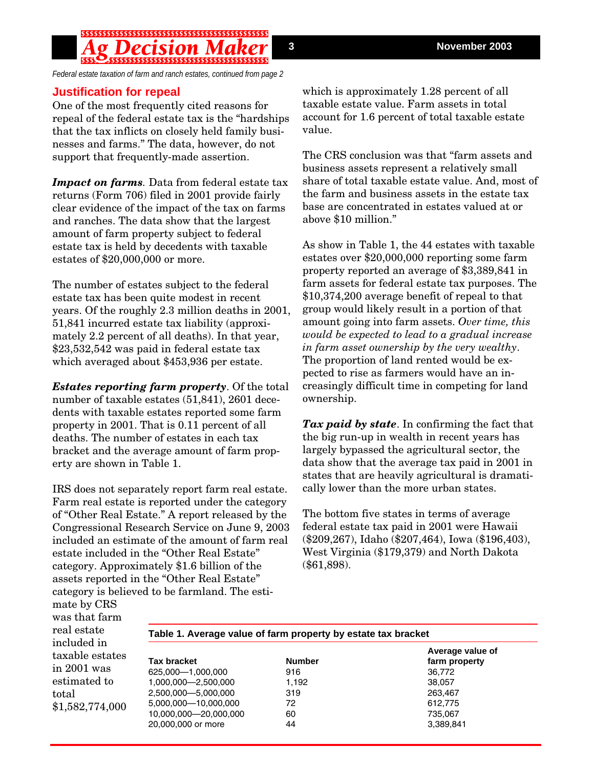*Federal estate taxation of farm and ranch estates, continued from page 2*

#### **Justification for repeal**

One of the most frequently cited reasons for repeal of the federal estate tax is the "hardships that the tax inflicts on closely held family businesses and farms." The data, however, do not support that frequently-made assertion.

*Impact on farms.* Data from federal estate tax returns (Form 706) filed in 2001 provide fairly clear evidence of the impact of the tax on farms and ranches. The data show that the largest amount of farm property subject to federal estate tax is held by decedents with taxable estates of \$20,000,000 or more.

The number of estates subject to the federal estate tax has been quite modest in recent years. Of the roughly 2.3 million deaths in 2001, 51,841 incurred estate tax liability (approximately 2.2 percent of all deaths). In that year, \$23,532,542 was paid in federal estate tax which averaged about \$453,936 per estate.

*Estates reporting farm property*. Of the total number of taxable estates (51,841), 2601 decedents with taxable estates reported some farm property in 2001. That is 0.11 percent of all deaths. The number of estates in each tax bracket and the average amount of farm property are shown in Table 1.

IRS does not separately report farm real estate. Farm real estate is reported under the category of "Other Real Estate." A report released by the Congressional Research Service on June 9, 2003 included an estimate of the amount of farm real estate included in the "Other Real Estate" category. Approximately \$1.6 billion of the assets reported in the "Other Real Estate" category is believed to be farmland. The estiwhich is approximately 1.28 percent of all taxable estate value. Farm assets in total account for 1.6 percent of total taxable estate value.

The CRS conclusion was that "farm assets and business assets represent a relatively small share of total taxable estate value. And, most of the farm and business assets in the estate tax base are concentrated in estates valued at or above \$10 million."

As show in Table 1, the 44 estates with taxable estates over \$20,000,000 reporting some farm property reported an average of \$3,389,841 in farm assets for federal estate tax purposes. The \$10,374,200 average benefit of repeal to that group would likely result in a portion of that amount going into farm assets. *Over time, this would be expected to lead to a gradual increase in farm asset ownership by the very wealthy*. The proportion of land rented would be expected to rise as farmers would have an increasingly difficult time in competing for land ownership.

*Tax paid by state*. In confirming the fact that the big run-up in wealth in recent years has largely bypassed the agricultural sector, the data show that the average tax paid in 2001 in states that are heavily agricultural is dramatically lower than the more urban states.

The bottom five states in terms of average federal estate tax paid in 2001 were Hawaii (\$209,267), Idaho (\$207,464), Iowa (\$196,403), West Virginia (\$179,379) and North Dakota (\$61,898).

mate by CRS was that farm real estate included in taxable estates in 2001 was estimated to total \$1,582,774,000

| Table 1. Average value of farm property by estate tax bracket |               |                                   |
|---------------------------------------------------------------|---------------|-----------------------------------|
| <b>Tax bracket</b>                                            | <b>Number</b> | Average value of<br>farm property |
| 625,000-1,000,000                                             | 916           | 36,772                            |
| 1,000,000-2,500,000                                           | 1.192         | 38.057                            |
| 2,500,000-5,000,000                                           | 319           | 263,467                           |
| 5,000,000-10,000,000                                          | 72            | 612,775                           |
| 10,000,000-20,000,000                                         | 60            | 735,067                           |
| 20,000,000 or more                                            | 44            | 3,389,841                         |